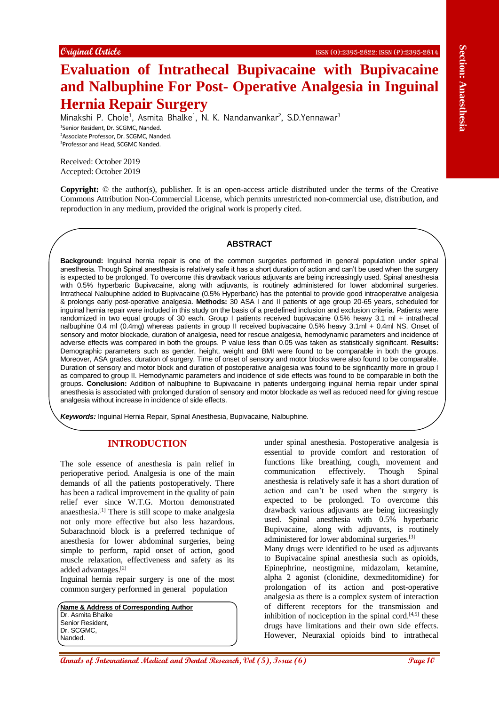# **Evaluation of Intrathecal Bupivacaine with Bupivacaine and Nalbuphine For Post- Operative Analgesia in Inguinal Hernia Repair Surgery**

Minakshi P. Chole<sup>1</sup>, Asmita Bhalke<sup>1</sup>, N. K. Nandanvankar<sup>2</sup>, S.D.Yennawar<sup>3</sup> Senior Resident, Dr. SCGMC, Nanded. Associate Professor, Dr. SCGMC, Nanded. Professor and Head, SCGMC Nanded.

Received: October 2019 Accepted: October 2019

**Copyright:** © the author(s), publisher. It is an open-access article distributed under the terms of the Creative Commons Attribution Non-Commercial License, which permits unrestricted non-commercial use, distribution, and reproduction in any medium, provided the original work is properly cited.

## **ABSTRACT**

**EVALUATION CONTROL CONFIRM (1998) CONFIRM CONFIRM CONFIRM CONFIRM CONFIRM CONFIRM CONFIRM CONFIRM CONFIRM CONFIRM CONFIRM CONFIRM CONFIRM CONFIRM CONFIRM CONFIRM CONFIRM CONFIRM CONFIRM CONFIRM CONFIRM CONFIRM CONFIRM Background:** Inguinal hernia repair is one of the common surgeries performed in general population under spinal anesthesia. Though Spinal anesthesia is relatively safe it has a short duration of action and can't be used when the surgery is expected to be prolonged. To overcome this drawback various adjuvants are being increasingly used. Spinal anesthesia with 0.5% hyperbaric Bupivacaine, along with adjuvants, is routinely administered for lower abdominal surgeries. Intrathecal Nalbuphine added to Bupivacaine (0.5% Hyperbaric) has the potential to provide good intraoperative analgesia & prolongs early post-operative analgesia. **Methods:** 30 ASA I and II patients of age group 20-65 years, scheduled for inguinal hernia repair were included in this study on the basis of a predefined inclusion and exclusion criteria. Patients were randomized in two equal groups of 30 each. Group I patients received bupivacaine 0.5% heavy 3.1 ml + intrathecal nalbuphine 0.4 ml (0.4mg) whereas patients in group II received bupivacaine 0.5% heavy 3.1ml + 0.4ml NS. Onset of sensory and motor blockade, duration of analgesia, need for rescue analgesia, hemodynamic parameters and incidence of adverse effects was compared in both the groups. P value less than 0.05 was taken as statistically significant. **Results:** Demographic parameters such as gender, height, weight and BMI were found to be comparable in both the groups. Moreover, ASA grades, duration of surgery, Time of onset of sensory and motor blocks were also found to be comparable. Duration of sensory and motor block and duration of postoperative analgesia was found to be significantly more in group I as compared to group II. Hemodynamic parameters and incidence of side effects was found to be comparable in both the groups. **Conclusion:** Addition of nalbuphine to Bupivacaine in patients undergoing inguinal hernia repair under spinal anesthesia is associated with prolonged duration of sensory and motor blockade as well as reduced need for giving rescue analgesia without increase in incidence of side effects.

*Keywords:* Inguinal Hernia Repair, Spinal Anesthesia, Bupivacaine, Nalbuphine.

## **INTRODUCTION**

The sole essence of anesthesia is pain relief in perioperative period. Analgesia is one of the main demands of all the patients postoperatively. There has been a radical improvement in the quality of pain relief ever since W.T.G. Morton demonstrated anaesthesia. [1] There is still scope to make analgesia not only more effective but also less hazardous. Subarachnoid block is a preferred technique of anesthesia for lower abdominal surgeries, being simple to perform, rapid onset of action, good muscle relaxation, effectiveness and safety as its added advantages. [2]

Inguinal hernia repair surgery is one of the most common surgery performed in general population

**Name & Address of Corresponding Author** Dr. Asmita Bhalke Senior Resident, Dr. SCGMC, Nanded.

under spinal anesthesia. Postoperative analgesia is essential to provide comfort and restoration of functions like breathing, cough, movement and communication effectively. Though Spinal anesthesia is relatively safe it has a short duration of action and can't be used when the surgery is expected to be prolonged. To overcome this drawback various adjuvants are being increasingly used. Spinal anesthesia with 0.5% hyperbaric Bupivacaine, along with adjuvants, is routinely administered for lower abdominal surgeries.<sup>[3]</sup>

Many drugs were identified to be used as adjuvants to Bupivacaine spinal anesthesia such as opioids, Epinephrine, neostigmine, midazolam, ketamine, alpha 2 agonist (clonidine, dexmeditomidine) for prolongation of its action and post-operative analgesia as there is a complex system of interaction of different receptors for the transmission and inhibition of nociception in the spinal cord. $[4,5]$  these drugs have limitations and their own side effects. However, Neuraxial opioids bind to intrathecal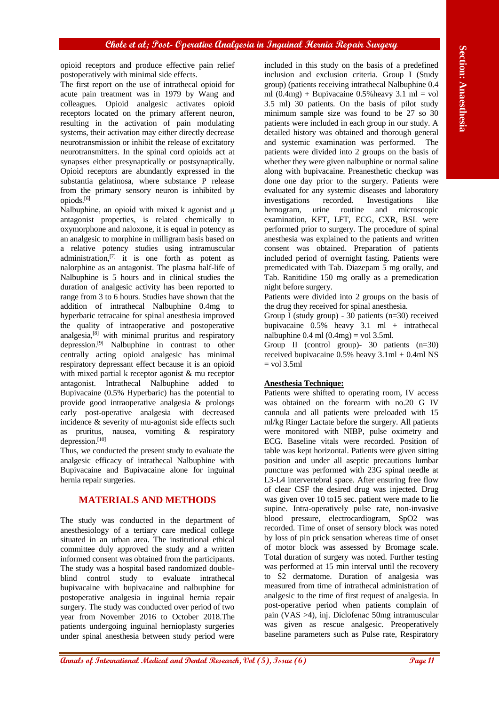opioid receptors and produce effective pain relief postoperatively with minimal side effects.

The first report on the use of intrathecal opioid for acute pain treatment was in 1979 by Wang and colleagues. Opioid analgesic activates opioid receptors located on the primary afferent neuron, resulting in the activation of pain modulating systems, their activation may either directly decrease neurotransmission or inhibit the release of excitatory neurotransmitters. In the spinal cord opioids act at synapses either presynaptically or postsynaptically. Opioid receptors are abundantly expressed in the substantia gelatinosa, where substance P release from the primary sensory neuron is inhibited by opiods. [6]

Nalbuphine, an opioid with mixed k agonist and μ antagonist properties, is related chemically to oxymorphone and naloxone, it is equal in potency as an analgesic to morphine in milligram basis based on a relative potency studies using intramuscular administration, [7] it is one forth as potent as nalorphine as an antagonist. The plasma half-life of Nalbuphine is 5 hours and in clinical studies the duration of analgesic activity has been reported to range from 3 to 6 hours. Studies have shown that the addition of intrathecal Nalbuphine 0.4mg to hyperbaric tetracaine for spinal anesthesia improved the quality of intraoperative and postoperative analgesia, [8] with minimal pruritus and respiratory depression. [9] Nalbuphine in contrast to other centrally acting opioid analgesic has minimal respiratory depressant effect because it is an opioid with mixed partial k receptor agonist & mu receptor antagonist. Intrathecal Nalbuphine added to Bupivacaine (0.5% Hyperbaric) has the potential to provide good intraoperative analgesia & prolongs early post-operative analgesia with decreased incidence & severity of mu-agonist side effects such as pruritus, nausea, vomiting & respiratory depression. [10]

Thus, we conducted the present study to evaluate the analgesic efficacy of intrathecal Nalbuphine with Bupivacaine and Bupivacaine alone for inguinal hernia repair surgeries.

# **MATERIALS AND METHODS**

The study was conducted in the department of anesthesiology of a tertiary care medical college situated in an urban area. The institutional ethical committee duly approved the study and a written informed consent was obtained from the participants. The study was a hospital based randomized doubleblind control study to evaluate intrathecal bupivacaine with bupivacaine and nalbuphine for postoperative analgesia in inguinal hernia repair surgery. The study was conducted over period of two year from November 2016 to October 2018.The patients undergoing inguinal hernioplasty surgeries under spinal anesthesia between study period were

included in this study on the basis of a predefined inclusion and exclusion criteria. Group I (Study group) (patients receiving intrathecal Nalbuphine 0.4 ml  $(0.4mg)$  + Bupivacaine 0.5% heavy 3.1 ml = vol 3.5 ml) 30 patients. On the basis of pilot study minimum sample size was found to be 27 so 30 patients were included in each group in our study. A detailed history was obtained and thorough general and systemic examination was performed. The patients were divided into 2 groups on the basis of whether they were given nalbuphine or normal saline along with bupivacaine. Preanesthetic checkup was done one day prior to the surgery. Patients were evaluated for any systemic diseases and laboratory investigations recorded. Investigations like hemogram, urine routine and microscopic examination, KFT, LFT, ECG, CXR, BSL were performed prior to surgery. The procedure of spinal anesthesia was explained to the patients and written consent was obtained. Preparation of patients included period of overnight fasting. Patients were premedicated with Tab. Diazepam 5 mg orally, and Tab. Ranitidine 150 mg orally as a premedication night before surgery.

Patients were divided into 2 groups on the basis of the drug they received for spinal anesthesia.

Group I (study group) - 30 patients (n=30) received bupivacaine 0.5% heavy 3.1 ml + intrathecal nalbuphine  $0.4$  ml  $(0.4$ mg $)$  = vol 3.5ml.

Group II (control group)- 30 patients (n=30) received bupivacaine  $0.5\%$  heavy  $3.1 \text{ml} + 0.4 \text{ml}$  NS  $=$  vol  $3.5$ ml

## **Anesthesia Technique:**

**Annals of International Angle Constraine Constraine Constraine Constraine Constraine Constraine Constraine Constraine Constraine Constraine Constraine Constraine Constraine Constraine Constraine Constraine Constraine Cons** Patients were shifted to operating room, IV access was obtained on the forearm with no.20 G IV cannula and all patients were preloaded with 15 ml/kg Ringer Lactate before the surgery. All patients were monitored with NIBP, pulse oximetry and ECG. Baseline vitals were recorded. Position of table was kept horizontal. Patients were given sitting position and under all aseptic precautions lumbar puncture was performed with 23G spinal needle at L3-L4 intervertebral space. After ensuring free flow of clear CSF the desired drug was injected. Drug was given over 10 to15 sec. patient were made to lie supine. Intra-operatively pulse rate, non-invasive blood pressure, electrocardiogram, SpO2 was recorded. Time of onset of sensory block was noted by loss of pin prick sensation whereas time of onset of motor block was assessed by Bromage scale. Total duration of surgery was noted. Further testing was performed at 15 min interval until the recovery to S2 dermatome. Duration of analgesia was measured from time of intrathecal administration of analgesic to the time of first request of analgesia. In post-operative period when patients complain of pain (VAS >4), inj. Diclofenac 50mg intramuscular was given as rescue analgesic. Preoperatively baseline parameters such as Pulse rate, Respiratory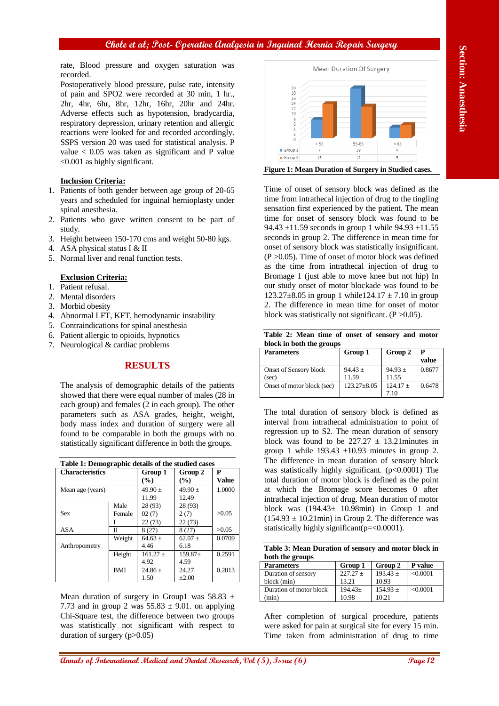rate, Blood pressure and oxygen saturation was recorded.

Postoperatively blood pressure, pulse rate, intensity of pain and SPO2 were recorded at 30 min, 1 hr., 2hr, 4hr, 6hr, 8hr, 12hr, 16hr, 20hr and 24hr. Adverse effects such as hypotension, bradycardia, respiratory depression, urinary retention and allergic reactions were looked for and recorded accordingly. SSPS version 20 was used for statistical analysis. P value  $< 0.05$  was taken as significant and P value <0.001 as highly significant.

## **Inclusion Criteria:**

- 1. Patients of both gender between age group of 20-65 years and scheduled for inguinal hernioplasty under spinal anesthesia.
- 2. Patients who gave written consent to be part of study.
- 3. Height between 150-170 cms and weight 50-80 kgs.
- 4. ASA physical status I & II
- 5. Normal liver and renal function tests.

## **Exclusion Criteria:**

- 1. Patient refusal.
- 2. Mental disorders
- 3. Morbid obesity
- 4. Abnormal LFT, KFT, hemodynamic instability
- 5. Contraindications for spinal anesthesia
- 6. Patient allergic to opioids, hypnotics
- 7. Neurological & cardiac problems

# **RESULTS**

The analysis of demographic details of the patients showed that there were equal number of males (28 in each group) and females (2 in each group). The other parameters such as ASA grades, height, weight, body mass index and duration of surgery were all found to be comparable in both the groups with no statistically significant difference in both the groups.

| Table 1: Demographic details of the studied cases |            |                    |                    |            |  |  |  |
|---------------------------------------------------|------------|--------------------|--------------------|------------|--|--|--|
| <b>Characteristics</b>                            |            | Group 1<br>(%)     | Group 2<br>(%)     | P<br>Value |  |  |  |
| Mean age (years)                                  |            | $49.90 +$<br>11.99 | $49.90 +$<br>12.49 | 1.0000     |  |  |  |
|                                                   | Male       | 28 (93)            | 28 (93)            |            |  |  |  |
| <b>Sex</b>                                        | Female     | 02(7)              | 2(7)               | >0.05      |  |  |  |
|                                                   |            | 22(73)             | 22(73)             |            |  |  |  |
| <b>ASA</b>                                        | Π          | 8(27)              | 8(27)              | >0.05      |  |  |  |
|                                                   | Weight     | $64.63 +$          | $62.07 +$          | 0.0709     |  |  |  |
| Anthropometry                                     |            | 4.46               | 6.18               |            |  |  |  |
|                                                   | Height     | $161.27 +$         | $159.87+$          | 0.2591     |  |  |  |
|                                                   |            | 4.92               | 4.59               |            |  |  |  |
|                                                   | <b>BMI</b> | $24.86 +$          | 24.27              | 0.2013     |  |  |  |
|                                                   |            | 1.50               | $+2.00$            |            |  |  |  |

Mean duration of surgery in Group1 was  $58.83 \pm$ 7.73 and in group 2 was  $55.83 \pm 9.01$ . on applying Chi-Square test, the difference between two groups was statistically not significant with respect to duration of surgery (p>0.05)



**Annals of International Medical and Dental and Dental Annals of Control and Dental Annals of Control and Dental Annals of Control and Dental Annals of Control and Dental Research, 1982 and Dental Research, 2003 and Denta** Time of onset of sensory block was defined as the time from intrathecal injection of drug to the tingling sensation first experienced by the patient. The mean time for onset of sensory block was found to be 94.43  $\pm$ 11.59 seconds in group 1 while 94.93  $\pm$ 11.55 seconds in group 2. The difference in mean time for onset of sensory block was statistically insignificant.  $(P > 0.05)$ . Time of onset of motor block was defined as the time from intrathecal injection of drug to Bromage 1 (just able to move knee but not hip) In our study onset of motor blockade was found to be 123.27 $\pm$ 8.05 in group 1 while124.17  $\pm$  7.10 in group 2. The difference in mean time for onset of motor block was statistically not significant.  $(P > 0.05)$ .

**Table 2: Mean time of onset of sensory and motor block in both the groups**

| <b>Parameters</b>          | Group 1           | Group 2     | P<br>value |
|----------------------------|-------------------|-------------|------------|
| Onset of Sensory block     | $94.43 \pm$       | $94.93 \pm$ | 0.8677     |
| (sec)                      | 11.59             | 11.55       |            |
| Onset of motor block (sec) | $123.27 \pm 8.05$ | $124.17 +$  | 0.6478     |
|                            |                   |             |            |

The total duration of sensory block is defined as interval from intrathecal administration to point of regression up to S2. The mean duration of sensory block was found to be  $227.27 \pm 13.21$  minutes in group 1 while  $193.43 \pm 10.93$  minutes in group 2. The difference in mean duration of sensory block was statistically highly significant. (p<0.0001) The total duration of motor block is defined as the point at which the Bromage score becomes 0 after intrathecal injection of drug. Mean duration of motor block was  $(194.43 \pm 10.98 \text{min})$  in Group 1 and  $(154.93 \pm 10.21 \text{min})$  in Group 2. The difference was statistically highly significant(p=<0.0001).

|                 | Table 3: Mean Duration of sensory and motor block in |  |  |
|-----------------|------------------------------------------------------|--|--|
| both the groups |                                                      |  |  |

| <b>Parameters</b>       | Group 1    | Group 2      | P value  |
|-------------------------|------------|--------------|----------|
| Duration of sensory     | $227.27 +$ | $193.43 \pm$ | < 0.0001 |
| block (min)             | 13.21      | 10.93        |          |
| Duration of motor block | $194.43+$  | $154.93 \pm$ | < 0.0001 |
| (min)                   | 10.98      | 10.21        |          |

After completion of surgical procedure, patients were asked for pain at surgical site for every 15 min. Time taken from administration of drug to time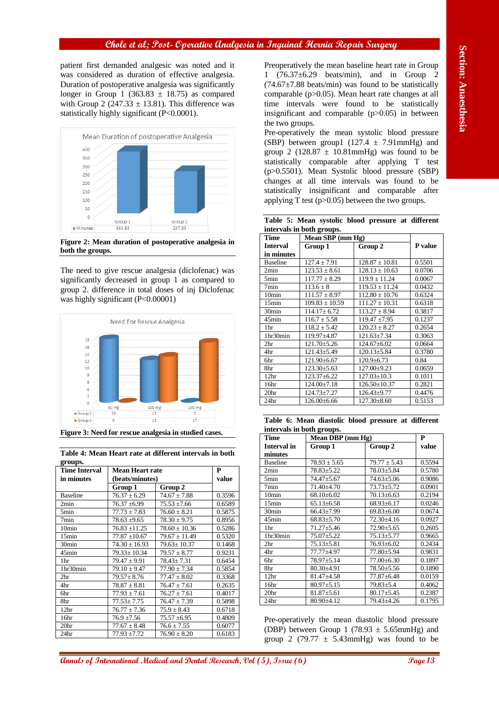

**Figure 2: Mean duration of postoperative analgesia in both the groups.**



**Table 4: Mean Heart rate at different intervals in both groups.**

| gruups.              |                   |                   |        |
|----------------------|-------------------|-------------------|--------|
| <b>Time Interval</b> | Mean Heart rate   |                   | P      |
| in minutes           | (beats/minutes)   |                   | value  |
|                      | Group 1           | Group 2           |        |
| <b>Baseline</b>      | $76.37 \pm 6.29$  | $74.67 \pm 7.88$  | 0.3596 |
| 2min                 | $76.37 \pm 6.99$  | $75.53 \pm 7.66$  | 0.6589 |
| 5 <sub>min</sub>     | $77.73 \pm 7.83$  | $76.60 \pm 8.21$  | 0.5875 |
| 7 <sub>min</sub>     | $78.63 \pm 9.65$  | $78.30 \pm 9.75$  | 0.8956 |
| 10 <sub>min</sub>    | $76.83 \pm 11.25$ | $78.60 \pm 10.36$ | 0.5286 |
| 15min                | $77.87 \pm 10.67$ | $79.67 \pm 11.49$ | 0.5320 |
| 30 <sub>min</sub>    | $74.30 \pm 16.93$ | $79.63 \pm 10.37$ | 0.1468 |
| 45min                | $79.33 \pm 10.34$ | $79.57 \pm 8.77$  | 0.9231 |
| 1hr                  | $79.47 \pm 9.91$  | $78.43 + 7.31$    | 0.6454 |
| 1hr30min             | $79.10 \pm 9.47$  | $77.90 \pm 7.34$  | 0.5854 |
| 2 <sup>hr</sup>      | $79.57 \pm 8.76$  | $77.47 \pm 8.02$  | 0.3368 |
| 4hr                  | $78.87 \pm 8.81$  | $76.47 \pm 7.61$  | 0.2635 |
| 6hr                  | $77.93 \pm 7.61$  | $76.27 \pm 7.61$  | 0.4017 |
| 8hr                  | $77.53 \pm 7.75$  | $76.47 \pm 7.39$  | 0.5898 |
| 12 <sup>hr</sup>     | $76.77 \pm 7.36$  | $75.9 \pm 8.43$   | 0.6718 |
| 16hr                 | $76.9 \pm 7.56$   | $75.57 \pm 6.95$  | 0.4809 |
| 20 <sub>hr</sub>     | $77.67 \pm 8.48$  | $76.6 \pm 7.55$   | 0.6077 |
| 24hr                 | $77.93 + 7.72$    | $76.90 \pm 8.20$  | 0.6183 |

|  |                           | Table 5: Mean systolic blood pressure at different |  |
|--|---------------------------|----------------------------------------------------|--|
|  | intervals in both groups. |                                                    |  |

| Time              | . <b>. .</b><br>Mean SBP (mm Hg) |                    |         |
|-------------------|----------------------------------|--------------------|---------|
| <b>Interval</b>   | Group 1                          | Group 2            | P value |
| in minutes        |                                  |                    |         |
| <b>Baseline</b>   | $127.4 \pm 7.91$                 | $128.87 \pm 10.81$ | 0.5501  |
| 2min              | $123.53 \pm 8.61$                | $128.13 \pm 10.63$ | 0.0706  |
| 5min              | $117.77 \pm 8.29$                | $119.9 \pm 11.24$  | 0.0067  |
| 7min              | $113.6 \pm 8$                    | $119.53 \pm 11.24$ | 0.0432  |
| 10 <sub>min</sub> | $111.57 \pm 8.97$                | $112.80 + 10.76$   | 0.6324  |
| 15min             | $109.83 \pm 10.59$               | $111.27 \pm 10.31$ | 0.6318  |
| 30 <sub>min</sub> | $114.17 \pm 6.72$                | $113.27 \pm 8.94$  | 0.3817  |
| 45min             | $116.7 \pm 5.58$                 | $119.47 \pm 7.95$  | 0.1237  |
| 1hr               | $118.2 \pm 5.42$                 | $120.23 \pm 8.27$  | 0.2654  |
| 1hr30min          | 119.97±4.87                      | $121.63 \pm 7.34$  | 0.3063  |
| 2hr               | $121.70 \pm 5.26$                | $124.67 \pm 6.02$  | 0.0664  |
| 4hr               | $121.43 + 5.49$                  | $120.13 + 5.84$    | 0.3780  |
| 6hr               | $121.90 \pm 6.67$                | $120.9 + 6.73$     | 0.84    |
| 8hr               | $123.30 \pm 5.63$                | $127.00 \pm 9.23$  | 0.0659  |
| 12 <sup>hr</sup>  | $123.37 \pm 6.22$                | $127.03 \pm 10.3$  | 0.1011  |
| 16hr              | $124.00 \pm 7.18$                | $126.50 \pm 10.37$ | 0.2821  |
| 20 <sup>hr</sup>  | $124.73 \pm 7.27$                | $126.43 \pm 9.77$  | 0.4476  |
| 24hr              | $126.00\pm 6.66$                 | $127.30 \pm 8.60$  | 0.5153  |

**Table 6: Mean diastolic blood pressure at different intervals in both groups.**

|                                      | Preoperatively the mean baseline heart rate in Group                                                |                                               |                            |                                                                                                        | patient first demanded analgesic was noted and it       |                                       |                                                                                                    |  |  |
|--------------------------------------|-----------------------------------------------------------------------------------------------------|-----------------------------------------------|----------------------------|--------------------------------------------------------------------------------------------------------|---------------------------------------------------------|---------------------------------------|----------------------------------------------------------------------------------------------------|--|--|
|                                      | $(76.37\pm6.29$ beats/min), and in Group 2                                                          |                                               |                            |                                                                                                        | was considered as duration of effective analgesia.      |                                       |                                                                                                    |  |  |
|                                      | $(74.67 \pm 7.88 \text{ beats/min})$ was found to be statistically                                  |                                               |                            |                                                                                                        | Duration of postoperative analgesia was significantly   |                                       |                                                                                                    |  |  |
|                                      | comparable $(p>0.05)$ . Mean heart rate changes at all                                              |                                               |                            |                                                                                                        | longer in Group 1 (363.83 $\pm$ 18.75) as compared      |                                       |                                                                                                    |  |  |
|                                      | time intervals were found to be statistically                                                       |                                               |                            | with Group 2 (247.33 $\pm$ 13.81). This difference was<br>statistically highly significant (P<0.0001). |                                                         |                                       |                                                                                                    |  |  |
|                                      | insignificant and comparable $(p>0.05)$ in between                                                  |                                               | the two groups.            |                                                                                                        |                                                         |                                       |                                                                                                    |  |  |
|                                      | Pre-operatively the mean systolic blood pressure<br>(SBP) between group1 (127.4 $\pm$ 7.91mmHg) and |                                               |                            |                                                                                                        | Mean Duration of postoperative Analgesia                |                                       |                                                                                                    |  |  |
|                                      | group 2 (128.87 $\pm$ 10.81mmHg) was found to be                                                    |                                               |                            |                                                                                                        |                                                         |                                       | 400                                                                                                |  |  |
|                                      | statistically comparable after applying T test                                                      |                                               |                            |                                                                                                        |                                                         |                                       | 350                                                                                                |  |  |
|                                      | (p>0.5501). Mean Systolic blood pressure (SBP)                                                      |                                               |                            |                                                                                                        |                                                         |                                       | 300<br>250                                                                                         |  |  |
|                                      | changes at all time intervals was found to be                                                       |                                               |                            |                                                                                                        |                                                         |                                       | 200                                                                                                |  |  |
|                                      | statistically insignificant and comparable after                                                    |                                               |                            |                                                                                                        |                                                         |                                       | 150                                                                                                |  |  |
|                                      | applying T test $(p>0.05)$ between the two groups.                                                  |                                               |                            |                                                                                                        |                                                         |                                       | 100                                                                                                |  |  |
|                                      |                                                                                                     |                                               |                            |                                                                                                        |                                                         |                                       | 50<br>0                                                                                            |  |  |
|                                      | Table 5: Mean systolic blood pressure at different                                                  |                                               |                            |                                                                                                        | Group 2<br>247.33                                       | Group 1<br>363.83                     | Minutes                                                                                            |  |  |
|                                      |                                                                                                     | intervals in both groups.<br>Mean SBP (mm Hg) | <b>Time</b>                |                                                                                                        |                                                         |                                       |                                                                                                    |  |  |
| P value                              | Group 2                                                                                             | Group 1                                       | <b>Interval</b>            |                                                                                                        | Figure 2: Mean duration of postoperative analgesia in   |                                       |                                                                                                    |  |  |
|                                      |                                                                                                     |                                               | in minutes                 |                                                                                                        |                                                         |                                       | both the groups.                                                                                   |  |  |
| 0.5501<br>0.0706                     | $128.87 \pm 10.81$<br>$128.13 \pm 10.63$                                                            | $127.4 \pm 7.91$<br>$123.53 \pm 8.61$         | Baseline<br>2min           |                                                                                                        | The need to give rescue analgesia (diclofenac) was      |                                       |                                                                                                    |  |  |
| 0.0067                               | $119.9 \pm 11.24$                                                                                   | $117.77 \pm 8.29$                             | 5min                       |                                                                                                        | significantly decreased in group 1 as compared to       |                                       |                                                                                                    |  |  |
| 0.0432                               | $119.53 \pm 11.24$                                                                                  | $113.6 \pm 8$                                 | 7min                       |                                                                                                        | group 2. difference in total doses of inj Diclofenac    |                                       |                                                                                                    |  |  |
| 0.6324                               | $112.80 \pm 10.76$                                                                                  | $111.57 \pm 8.97$                             | 10 <sub>min</sub>          |                                                                                                        |                                                         | was highly significant (P<0.00001)    |                                                                                                    |  |  |
| 0.6318<br>0.3817                     | $111.27 \pm 10.31$<br>$113.27 \pm 8.94$                                                             | $109.83 \pm 10.59$<br>$114.17 \pm 6.72$       | 15min<br>30min             |                                                                                                        |                                                         |                                       |                                                                                                    |  |  |
| 0.1237                               | $119.47 \pm 7.95$                                                                                   | $116.7 \pm 5.58$                              | 45min                      |                                                                                                        |                                                         | Need For Rescue Analgesia             |                                                                                                    |  |  |
| 0.2654                               | $120.23 \pm 8.27$                                                                                   | $118.2 \pm 5.42$                              | 1hr                        |                                                                                                        |                                                         |                                       |                                                                                                    |  |  |
| 0.3063                               | $121.63 \pm 7.34$                                                                                   | 119.97±4.87                                   | 1hr30min                   |                                                                                                        |                                                         |                                       | 18                                                                                                 |  |  |
| 0.0664<br>0.3780                     | $124.67 \pm 6.02$<br>$120.13 \pm 5.84$                                                              | 121.70±5.26<br>121.43±5.49                    | 2hr<br>4hr                 |                                                                                                        |                                                         |                                       | 16                                                                                                 |  |  |
| 0.84                                 | $120.9 \pm 6.73$                                                                                    | 121.90±6.67                                   | 6hr                        |                                                                                                        |                                                         |                                       | 14<br>12                                                                                           |  |  |
| 0.0659                               | 127.00±9.23                                                                                         | $123.30 \pm 5.63$                             | 8hr                        |                                                                                                        |                                                         |                                       | 10                                                                                                 |  |  |
| 0.1011                               | $127.03 \pm 10.3$                                                                                   | 123.37±6.22                                   | 12 <sup>hr</sup>           |                                                                                                        |                                                         |                                       | 8<br>6                                                                                             |  |  |
| 0.2821<br>0.4476                     | $126.50 \pm 10.37$<br>126.43±9.77                                                                   | $124.00 \pm 7.18$<br>124.73±7.27              | 16hr<br>20 <sup>hr</sup>   |                                                                                                        |                                                         |                                       | 4                                                                                                  |  |  |
| 0.5153                               | $127.30 \pm 8.60$                                                                                   | $126.00\pm 6.66$                              | 24hr                       |                                                                                                        |                                                         |                                       | 2<br>0                                                                                             |  |  |
|                                      |                                                                                                     |                                               |                            |                                                                                                        | 150 mg<br>$\mathbb O$                                   | 100 mg<br>50 mg<br>12<br>18           | Group 1                                                                                            |  |  |
|                                      | Table 6: Mean diastolic blood pressure at different                                                 |                                               |                            |                                                                                                        | 17                                                      | $\mathbf 0$<br>13                     | Group <sub>2</sub>                                                                                 |  |  |
|                                      |                                                                                                     |                                               |                            |                                                                                                        | Figure 3: Need for rescue analgesia in studied cases.   |                                       |                                                                                                    |  |  |
|                                      |                                                                                                     | intervals in both groups.                     |                            |                                                                                                        |                                                         |                                       |                                                                                                    |  |  |
| $\mathbf{P}$<br>value                |                                                                                                     | Mean DBP (mm Hg)                              | Time<br><b>Interval</b> in |                                                                                                        |                                                         |                                       |                                                                                                    |  |  |
|                                      | Group 2                                                                                             | Group 1                                       | minutes                    |                                                                                                        | Table 4: Mean Heart rate at different intervals in both |                                       |                                                                                                    |  |  |
|                                      | $79.77 \pm 5.43$                                                                                    | $78.93 \pm 5.65$                              | <b>Baseline</b>            |                                                                                                        |                                                         |                                       | groups.                                                                                            |  |  |
|                                      | 78.03±5.84                                                                                          | 78.83±5.22                                    | 2min                       | P                                                                                                      |                                                         | <b>Mean Heart rate</b>                |                                                                                                    |  |  |
| 0.5594<br>0.9086<br>0.0901           | $74.63 \pm 5.06$<br>73.73±5.72                                                                      | 74.47±5.67<br>71.40±4.70                      | 5min<br>7min               | value                                                                                                  | Group 2                                                 | (beats/minutes)<br>Group 1            |                                                                                                    |  |  |
| 0.5780<br>0.2194                     | $70.13 \pm 6.63$                                                                                    | $68.10\pm6.02$                                | 10 <sub>min</sub>          | 0.3596                                                                                                 | $74.67\pm7.88$                                          | $76.37 \pm 6.29$                      |                                                                                                    |  |  |
|                                      | 68.93±6.17                                                                                          | $65.13 \pm 6.58$                              | 15min                      | 0.6589                                                                                                 | $75.53 \pm 7.66$                                        | $76.37 \pm 6.99$                      |                                                                                                    |  |  |
| 0.0927                               | $69.83 \pm 6.00$                                                                                    | $66.43 \pm 7.99$<br>$68.83{\pm}5.70$          | 30min<br>45min             | 0.5875                                                                                                 | $76.60 \pm 8.21$                                        | $\overline{77.73} \pm 7.83$           |                                                                                                    |  |  |
| 0.2605                               | 72.30±4.16<br>$72.90 \pm 5.65$                                                                      | $71.27 \pm 5.46$                              | 1hr                        | 0.8956<br>0.5286                                                                                       | $78.30 \pm 9.75$<br>$78.60 \pm 10.36$                   | $78.63 \pm 9.65$<br>$76.83 \pm 11.25$ | <b>Time Interval</b><br>in minutes<br><b>Baseline</b><br>2min<br>5min<br>7min<br>10 <sub>min</sub> |  |  |
| 0.9665                               | $75.13 \pm 5.77$                                                                                    | 75.07±5.22                                    | 1hr30min                   | 0.5320                                                                                                 | $79.67 \pm 11.49$                                       | $77.87 \pm 10.67$                     | 15min                                                                                              |  |  |
|                                      | $76.93 \pm 6.02$                                                                                    | $75.13 \pm 5.81$                              | 2hr                        | 0.1468                                                                                                 | $79.63 \pm 10.37$                                       | $74.30 \pm 16.93$                     |                                                                                                    |  |  |
| 0.9831<br>0.1897                     | 77.80±5.94<br>77.00±6.30                                                                            | 77.77±4.97<br>78.97±5.14                      | 4hr<br>6hr                 | 0.9231                                                                                                 | $79.57 \pm 8.77$                                        | 79.33±10.34                           |                                                                                                    |  |  |
| 0.0246<br>0.0674<br>0.2434<br>0.1890 | $78.50 \pm 5.56$                                                                                    | $80.30 \pm 4.91$                              | 8hr                        | 0.6454<br>0.5854                                                                                       | $78.43 \pm 7.31$<br>$77.90 \pm 7.34$                    | $79.47 \pm 9.91$<br>$79.10 \pm 9.47$  |                                                                                                    |  |  |
| 0.0159                               | 77.87±6.48                                                                                          | $81.47 \pm 4.58$                              | 12hr                       | 0.3368                                                                                                 | $77.47 \pm 8.02$                                        | $\overline{79.57 \pm 8.76}$           |                                                                                                    |  |  |
| 0.4062                               | $79.83 \pm 5.4$                                                                                     | $80.97 \pm 5.15$                              | 16hr                       | 0.2635                                                                                                 | $76.47 \pm 7.61$                                        | $78.87 \pm 8.81$                      |                                                                                                    |  |  |
| 0.2387                               | $80.17{\pm}5.45$                                                                                    | $81.87{\pm}5.61$                              | 20hr                       | 0.4017                                                                                                 | $76.27 \pm 7.61$                                        | $77.93 \pm 7.61$                      |                                                                                                    |  |  |
| 0.1795                               | 79.43±4.26                                                                                          | $80.90 \pm 4.12$                              | 24hr                       | 0.5898<br>0.6718                                                                                       | $76.47 \pm 7.39$<br>$75.9 \pm 8.43$                     | $77.53 \pm 7.75$<br>$76.77 \pm 7.36$  |                                                                                                    |  |  |
|                                      | Pre-operatively the mean diastolic blood pressure                                                   |                                               |                            | 0.4809                                                                                                 | $75.57 \pm 6.95$                                        | $76.9 \pm 7.56$                       | 30min<br>45min<br>1hr30min<br>12hr<br>16hr<br>20hr                                                 |  |  |
|                                      | (DBP) between Group 1 (78.93 $\pm$ 5.65mmHg) and                                                    |                                               |                            | 0.6077<br>0.6183                                                                                       | $76.6 \pm 7.55$<br>$76.90 \pm 8.20$                     | $77.67 \pm 8.48$<br>$77.93 \pm 7.72$  |                                                                                                    |  |  |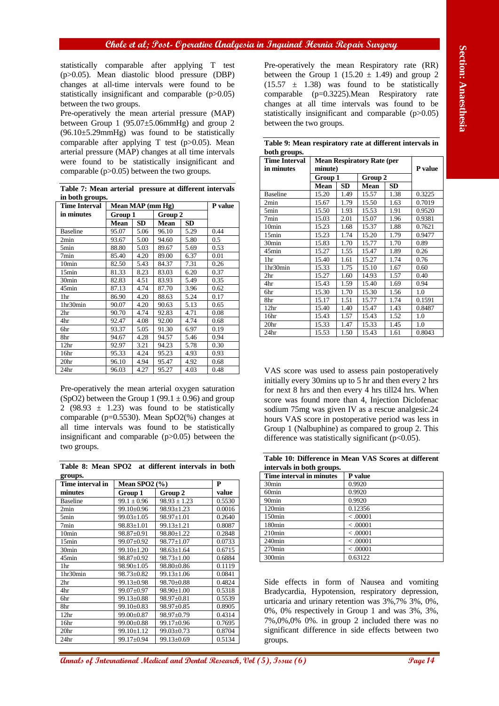**Table 7: Mean arterial pressure at different intervals in both groups.**

| <b>Time Interval</b> | Mean MAP (mm Hg) | P value   |             |      |      |
|----------------------|------------------|-----------|-------------|------|------|
| in minutes           | Group 1          |           | Group 2     |      |      |
|                      | Mean             | <b>SD</b> | <b>Mean</b> | SD   |      |
| <b>Baseline</b>      | 95.07            | 5.06      | 96.10       | 5.29 | 0.44 |
| 2min                 | 93.67            | 5.00      | 94.60       | 5.80 | 0.5  |
| 5min                 | 88.80            | 5.03      | 89.67       | 5.69 | 0.53 |
| 7min                 | 85.40            | 4.20      | 89.00       | 6.37 | 0.01 |
| 10 <sub>min</sub>    | 82.50            | 5.43      | 84.37       | 7.31 | 0.26 |
| 15min                | 81.33            | 8.23      | 83.03       | 6.20 | 0.37 |
| 30 <sub>min</sub>    | 82.83            | 4.51      | 83.93       | 5.49 | 0.35 |
| 45min                | 87.13            | 4.74      | 87.70       | 3.96 | 0.62 |
| 1hr                  | 86.90            | 4.20      | 88.63       | 5.24 | 0.17 |
| 1hr30min             | 90.07            | 4.20      | 90.63       | 5.13 | 0.65 |
| 2 <sup>hr</sup>      | 90.70            | 4.74      | 92.83       | 4.71 | 0.08 |
| 4hr                  | 92.47            | 4.08      | 92.00       | 4.74 | 0.68 |
| 6hr                  | 93.37            | 5.05      | 91.30       | 6.97 | 0.19 |
| 8hr                  | 94.67            | 4.28      | 94.57       | 5.46 | 0.94 |
| 12 <sup>hr</sup>     | 92.97            | 3.21      | 94.23       | 5.78 | 0.30 |
| 16hr                 | 95.33            | 4.24      | 95.23       | 4.93 | 0.93 |
| 20 <sub>hr</sub>     | 96.10            | 4.94      | 95.47       | 4.92 | 0.68 |
| 24 <sub>hr</sub>     | 96.03            | 4.27      | 95.27       | 4.03 | 0.48 |

**Table 8: Mean SPO2 at different intervals in both groups.**

| gruups.           |                   |                  |        |
|-------------------|-------------------|------------------|--------|
| Time interval in  | Mean SPO2 $(\% )$ |                  | P      |
| minutes           | Group 1           | Group 2          | value  |
| <b>Baseline</b>   | $99.1 \pm 0.96$   | $98.93 \pm 1.23$ | 0.5530 |
| 2min              | 99.10±0.96        | $98.93 \pm 1.23$ | 0.0016 |
| 5 <sub>min</sub>  | $99.03 \pm 1.05$  | $98.97 \pm 1.01$ | 0.2640 |
| 7min              | $98.83 \pm 1.01$  | $99.13 \pm 1.21$ | 0.8087 |
| 10 <sub>min</sub> | 98.87±0.91        | $98.80 \pm 1.22$ | 0.2848 |
| 15min             | $99.07 \pm 0.92$  | $98.77 \pm 1.07$ | 0.0733 |
| 30 <sub>min</sub> | $99.10 \pm 1.20$  | $98.63 \pm 1.64$ | 0.6715 |
| 45min             | $98.87 \pm 0.92$  | $98.73 \pm 1.00$ | 0.6884 |
| 1hr               | $98.90 \pm 1.05$  | $98.80 + 0.86$   | 0.1119 |
| 1hr30min          | $98.73 \pm 0.82$  | $99.13 \pm 1.06$ | 0.0841 |
| 2 <sup>hr</sup>   | $99.13 \pm 0.98$  | $98.70 \pm 0.88$ | 0.4824 |
| 4hr               | 99.07±0.97        | $98.90 \pm 1.00$ | 0.5318 |
| 6hr               | $99.13 \pm 0.88$  | $98.97 \pm 0.81$ | 0.5539 |
| 8hr               | $99.10 \pm 0.83$  | $98.97 \pm 0.85$ | 0.8905 |
| 12 <sup>hr</sup>  | $99.00 \pm 0.87$  | 98.97±0.79       | 0.4314 |
| 16hr              | 99.00±0.88        | 99.17±0.96       | 0.7695 |
| 20 <sub>hr</sub>  | $99.10 \pm 1.12$  | $99.03 \pm 0.73$ | 0.8704 |
| 24 <sub>hr</sub>  | 99.17±0.94        | $99.13 \pm 0.69$ | 0.5134 |

| (p>0.05). Mean diastolic blood pressure (DBP)<br>changes at all-time intervals were found to be                                                                                                                                           |                  |                                |                                |              |                    | between the Group 1 (15.20 $\pm$ 1.49) and group 2<br>$(15.57 \pm 1.38)$ was found to be statistically |                                              |              |                      |              |                  |
|-------------------------------------------------------------------------------------------------------------------------------------------------------------------------------------------------------------------------------------------|------------------|--------------------------------|--------------------------------|--------------|--------------------|--------------------------------------------------------------------------------------------------------|----------------------------------------------|--------------|----------------------|--------------|------------------|
| statistically insignificant and comparable $(p>0.05)$<br>between the two groups.                                                                                                                                                          |                  |                                |                                |              |                    | comparable (p=0.3225). Mean Respiratory rate<br>changes at all time intervals was found to be          |                                              |              |                      |              |                  |
| Pre-operatively the mean arterial pressure (MAP)                                                                                                                                                                                          |                  |                                |                                |              |                    | statistically insignificant and comparable $(p>0.05)$                                                  |                                              |              |                      |              |                  |
| between Group $1$ (95.07 $\pm$ 5.06mmHg) and group 2                                                                                                                                                                                      |                  |                                |                                |              |                    | between the two groups.                                                                                |                                              |              |                      |              |                  |
| $(96.10 \pm 5.29$ mmHg) was found to be statistically                                                                                                                                                                                     |                  |                                |                                |              |                    |                                                                                                        |                                              |              |                      |              |                  |
| comparable after applying T test (p>0.05). Mean                                                                                                                                                                                           |                  |                                |                                |              |                    | Table 9: Mean respiratory rate at different intervals in                                               |                                              |              |                      |              |                  |
| arterial pressure (MAP) changes at all time intervals                                                                                                                                                                                     |                  |                                |                                |              |                    | both groups.                                                                                           |                                              |              |                      |              |                  |
| were found to be statistically insignificant and                                                                                                                                                                                          |                  |                                |                                |              |                    | <b>Time Interval</b><br>in minutes                                                                     | <b>Mean Respiratory Rate (per</b><br>minute) |              | P value              |              |                  |
| comparable $(p>0.05)$ between the two groups.                                                                                                                                                                                             |                  |                                |                                |              |                    |                                                                                                        | Group 1                                      |              | Group 2              |              |                  |
| Table 7: Mean arterial pressure at different intervals                                                                                                                                                                                    |                  |                                |                                |              |                    |                                                                                                        | <b>Mean</b>                                  | <b>SD</b>    | Mean                 | <b>SD</b>    |                  |
| in both groups.                                                                                                                                                                                                                           |                  |                                |                                |              |                    | <b>Baseline</b>                                                                                        | 15.20                                        | 1.49         | 15.57                | 1.38         | 0.3225           |
| Time Interval                                                                                                                                                                                                                             | Mean MAP (mm Hg) |                                |                                |              | P value            | 2min<br>5min                                                                                           | 15.67<br>15.50                               | 1.79<br>1.93 | 15.50<br>15.53       | 1.63<br>1.91 | 0.7019<br>0.9520 |
| in minutes                                                                                                                                                                                                                                | Group 1<br>Mean  | <b>SD</b>                      | Group 2<br><b>Mean</b>         | <b>SD</b>    |                    | 7min                                                                                                   | 15.03                                        | 2.01         | 15.07                | 1.96         | 0.9381           |
| <b>Baseline</b>                                                                                                                                                                                                                           | 95.07            | 5.06                           | 96.10                          | 5.29         | 0.44               | 10 <sub>min</sub>                                                                                      | 15.23                                        | 1.68         | 15.37                | 1.88         | 0.7621           |
| 2min                                                                                                                                                                                                                                      | 93.67            | 5.00                           | 94.60                          | 5.80         | 0.5                | 15min<br>30min                                                                                         | 15.23<br>15.83                               | 1.74<br>1.70 | 15.20<br>15.77       | 1.79<br>1.70 | 0.9477<br>0.89   |
| 5min                                                                                                                                                                                                                                      | 88.80            | 5.03                           | 89.67                          | 5.69         | 0.53               | 45min                                                                                                  | 15.27                                        | 1.55         | 15.47                | 1.89         | 0.26             |
| 7min<br>10min                                                                                                                                                                                                                             | 85.40<br>82.50   | 4.20<br>5.43                   | 89.00<br>84.37                 | 6.37<br>7.31 | 0.01<br>0.26       | 1hr                                                                                                    | 15.40                                        | 1.61         | 15.27                | 1.74         | 0.76             |
| 15min                                                                                                                                                                                                                                     | 81.33            | 8.23                           | 83.03                          | 6.20         | 0.37               | 1hr30min                                                                                               | 15.33                                        | 1.75         | 15.10                | 1.67         | 0.60             |
| $\overline{30}$ min                                                                                                                                                                                                                       | 82.83            | 4.51                           | 83.93                          | 5.49         | 0.35               | 2hr<br>4hr                                                                                             | 15.27<br>15.43                               | 1.60<br>1.59 | 14.93<br>15.40       | 1.57<br>1.69 | 0.40<br>0.94     |
| 45min                                                                                                                                                                                                                                     | 87.13            | 4.74                           | 87.70                          | 3.96         | 0.62               | 6hr                                                                                                    | 15.30                                        | 1.70         | 15.30                | 1.56         | 1.0              |
| 1hr<br>1hr30min                                                                                                                                                                                                                           | 86.90<br>90.07   | 4.20<br>4.20                   | 88.63<br>90.63                 | 5.24<br>5.13 | 0.17<br>0.65       | 8hr                                                                                                    | 15.17                                        | 1.51         | 15.77                | 1.74         | 0.1591           |
| 2 <sup>hr</sup>                                                                                                                                                                                                                           | 90.70            | 4.74                           | 92.83                          | 4.71         | 0.08               | 12 <sub>hr</sub><br>16hr                                                                               | 15.40<br>15.43                               | 1.40<br>1.57 | 15.47<br>15.43       | 1.43<br>1.52 | 0.8487<br>1.0    |
| 4hr                                                                                                                                                                                                                                       | 92.47            | 4.08                           | 92.00                          | 4.74         | 0.68               | 20hr                                                                                                   | 15.33                                        | 1.47         | 15.33                | 1.45         | 1.0              |
|                                                                                                                                                                                                                                           |                  |                                |                                |              |                    |                                                                                                        |                                              |              |                      |              |                  |
|                                                                                                                                                                                                                                           | 93.37            | 5.05                           | 91.30                          | 6.97         | 0.19               | 24hr                                                                                                   | 15.53                                        | 1.50         | 15.43                | 1.61         | 0.8043           |
|                                                                                                                                                                                                                                           | 94.67            | 4.28                           | 94.57                          | 5.46         | 0.94               |                                                                                                        |                                              |              |                      |              |                  |
|                                                                                                                                                                                                                                           | 92.97<br>95.33   | 3.21<br>4.24                   | 94.23<br>95.23                 | 5.78<br>4.93 | 0.30<br>0.93       |                                                                                                        |                                              |              |                      |              |                  |
|                                                                                                                                                                                                                                           | 96.10            | 4.94                           | 95.47                          | 4.92         | 0.68               |                                                                                                        |                                              |              |                      |              |                  |
|                                                                                                                                                                                                                                           | 96.03            | 4.27                           | 95.27                          | 4.03         | 0.48               | VAS score was used to assess pain postoperatively                                                      |                                              |              |                      |              |                  |
|                                                                                                                                                                                                                                           |                  |                                |                                |              |                    | initially every 30mins up to 5 hr and then every 2 hrs                                                 |                                              |              |                      |              |                  |
|                                                                                                                                                                                                                                           |                  |                                |                                |              |                    | for next 8 hrs and then every 4 hrs till 24 hrs. When                                                  |                                              |              |                      |              |                  |
|                                                                                                                                                                                                                                           |                  |                                |                                |              |                    | score was found more than 4, Injection Diclofenac                                                      |                                              |              |                      |              |                  |
| 6hr<br>8hr<br>12 <sup>hr</sup><br>16hr<br>20 <sub>hr</sub><br>24hr<br>Pre-operatively the mean arterial oxygen saturation<br>(SpO2) between the Group 1 (99.1 $\pm$ 0.96) and group<br>2 (98.93 $\pm$ 1.23) was found to be statistically |                  |                                |                                |              |                    | sodium 75mg was given IV as a rescue analgesic.24                                                      |                                              |              |                      |              |                  |
| comparable (p=0.5530). Mean SpO2(%) changes at                                                                                                                                                                                            |                  |                                |                                |              |                    | hours VAS score in postoperative period was less in                                                    |                                              |              |                      |              |                  |
|                                                                                                                                                                                                                                           |                  |                                |                                |              |                    | Group 1 (Nalbuphine) as compared to group 2. This                                                      |                                              |              |                      |              |                  |
|                                                                                                                                                                                                                                           |                  |                                |                                |              |                    | difference was statistically significant $(p<0.05)$ .                                                  |                                              |              |                      |              |                  |
| all time intervals was found to be statistically<br>insignificant and comparable $(p>0.05)$ between the<br>two groups.                                                                                                                    |                  |                                |                                |              |                    | Table 10: Difference in Mean VAS Scores at different                                                   |                                              |              |                      |              |                  |
| Table 8: Mean SPO2 at different intervals in both                                                                                                                                                                                         |                  |                                |                                |              |                    | intervals in both groups.                                                                              |                                              |              |                      |              |                  |
| groups.                                                                                                                                                                                                                                   |                  |                                |                                |              |                    | Time interval in minutes                                                                               |                                              |              | P value              |              |                  |
|                                                                                                                                                                                                                                           |                  | Mean SPO2 $(\% )$              |                                |              | ${\bf P}$<br>value | 30min<br>60min                                                                                         |                                              | 0.9920       | 0.9920               |              |                  |
| Time interval in<br>minutes<br><b>Baseline</b>                                                                                                                                                                                            | Group 1          | $99.1 \pm 0.96$                | Group 2<br>$98.93 \pm 1.23$    |              | 0.5530             | 90 <sub>min</sub>                                                                                      |                                              |              | 0.9920               |              |                  |
| 2min                                                                                                                                                                                                                                      |                  | 99.10±0.96                     | $98.93 \pm 1.23$               |              | 0.0016             | 120min                                                                                                 |                                              |              | 0.12356              |              |                  |
|                                                                                                                                                                                                                                           |                  | 99.03±1.05                     | 98.97±1.01                     |              | 0.2640             | 150 <sub>min</sub>                                                                                     |                                              |              | < 0.0001             |              |                  |
|                                                                                                                                                                                                                                           |                  | $98.83 \pm 1.01$<br>98.87±0.91 | $99.13 \pm 1.21$<br>98.80±1.22 |              | 0.8087<br>0.2848   | 180min<br>$210$ min                                                                                    |                                              |              | < 0.0001<br>< 0.0001 |              |                  |
|                                                                                                                                                                                                                                           |                  | $99.07 \pm 0.92$               | $98.77 \pm 1.07$               |              | 0.0733             | 240min                                                                                                 |                                              |              | < 0.0001             |              |                  |
|                                                                                                                                                                                                                                           |                  | 99.10±1.20                     | $98.63 \pm 1.64$               |              | 0.6715             | 270min                                                                                                 |                                              |              | < 0.0001             |              |                  |
|                                                                                                                                                                                                                                           |                  | 98.87±0.92                     | $98.73 \pm 1.00$               |              | 0.6884             | 300 <sub>min</sub>                                                                                     |                                              |              | 0.63122              |              |                  |
|                                                                                                                                                                                                                                           |                  | $98.90 \pm 1.05$               | 98.80±0.86<br>99.13±1.06       |              | 0.1119<br>0.0841   |                                                                                                        |                                              |              |                      |              |                  |
|                                                                                                                                                                                                                                           |                  | $98.73 \pm 0.82$<br>99.13±0.98 | 98.70±0.88                     |              | 0.4824             | Side effects in form of Nausea and vomiting                                                            |                                              |              |                      |              |                  |
|                                                                                                                                                                                                                                           |                  | 99.07±0.97                     | $98.90 \pm 1.00$               |              | 0.5318             | Bradycardia, Hypotension, respiratory depression,                                                      |                                              |              |                      |              |                  |
|                                                                                                                                                                                                                                           |                  | 99.13±0.88                     | 98.97±0.81                     |              | 0.5539             | urticaria and urinary retention was 3%,7% 3%, 0%,                                                      |                                              |              |                      |              |                  |
|                                                                                                                                                                                                                                           |                  | $99.10 \pm 0.83$<br>99.00±0.87 | $98.97 \pm 0.85$<br>98.97±0.79 |              | 0.8905<br>0.4314   | 0%, 0% respectively in Group 1 and was 3%, 3%,                                                         |                                              |              |                      |              |                  |
| 5min<br>7min<br>10min<br>15min<br>30min<br>45min<br>1hr<br>1hr30min<br>2hr<br>4hr<br>6hr<br>8hr<br>12 <sup>hr</sup><br>16hr<br>20 <sup>hr</sup>                                                                                           |                  | 99.00±0.88<br>99.10±1.12       | 99.17±0.96<br>99.03±0.73       |              | 0.7695<br>0.8704   | 7%,0%,0% 0%. in group 2 included there was no<br>significant difference in side effects between two    |                                              |              |                      |              |                  |

| Table 10: Difference in Mean VAS Scores at different |  |  |
|------------------------------------------------------|--|--|
| intervals in both groups.                            |  |  |

| Time interval in minutes | P value  |
|--------------------------|----------|
| 30 <sub>min</sub>        | 0.9920   |
| 60 <sub>min</sub>        | 0.9920   |
| 90 <sub>min</sub>        | 0.9920   |
| $120$ min                | 0.12356  |
| 150 <sub>min</sub>       | < .00001 |
| 180 <sub>min</sub>       | < .00001 |
| $210$ min                | < .00001 |
| $240$ min                | < .00001 |
| $270$ min                | < .00001 |
| 300 <sub>min</sub>       | 0.63122  |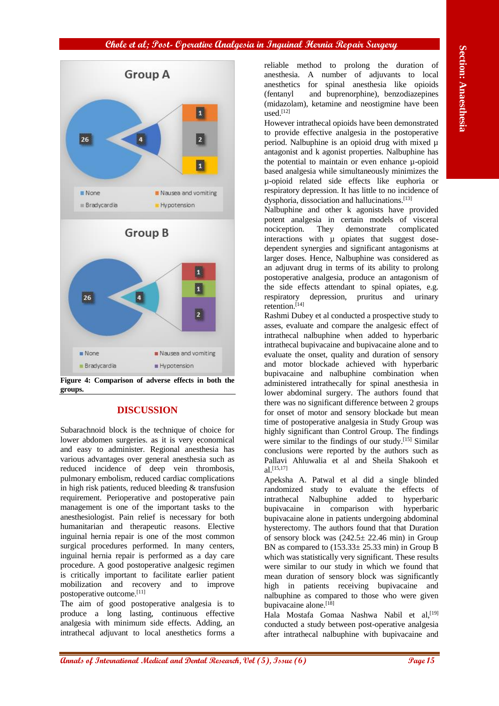

**Figure 4: Comparison of adverse effects in both the groups.**

## **DISCUSSION**

Subarachnoid block is the technique of choice for lower abdomen surgeries. as it is very economical and easy to administer. Regional anesthesia has various advantages over general anesthesia such as reduced incidence of deep vein thrombosis, pulmonary embolism, reduced cardiac complications in high risk patients, reduced bleeding & transfusion requirement. Perioperative and postoperative pain management is one of the important tasks to the anesthesiologist. Pain relief is necessary for both humanitarian and therapeutic reasons. Elective inguinal hernia repair is one of the most common surgical procedures performed. In many centers, inguinal hernia repair is performed as a day care procedure. A good postoperative analgesic regimen is critically important to facilitate earlier patient mobilization and recovery and to improve postoperative outcome. [11]

The aim of good postoperative analgesia is to produce a long lasting, continuous effective analgesia with minimum side effects. Adding, an intrathecal adjuvant to local anesthetics forms a reliable method to prolong the duration of anesthesia. A number of adjuvants to local anesthetics for spinal anesthesia like opioids (fentanyl and buprenorphine), benzodiazepines (midazolam), ketamine and neostigmine have been used. [12]

However intrathecal opioids have been demonstrated to provide effective analgesia in the postoperative period. Nalbuphine is an opioid drug with mixed µ antagonist and k agonist properties. Nalbuphine has the potential to maintain or even enhance µ-opioid based analgesia while simultaneously minimizes the µ-opioid related side effects like euphoria or respiratory depression. It has little to no incidence of dysphoria, dissociation and hallucinations. [13]

Nalbuphine and other k agonists have provided potent analgesia in certain models of visceral nociception. They demonstrate complicated interactions with  $\mu$  opiates that suggest dosedependent synergies and significant antagonisms at larger doses. Hence, Nalbuphine was considered as an adjuvant drug in terms of its ability to prolong postoperative analgesia, produce an antagonism of the side effects attendant to spinal opiates, e.g. respiratory depression, pruritus and urinary retention. [14]

Rashmi Dubey et al conducted a prospective study to asses, evaluate and compare the analgesic effect of intrathecal nalbuphine when added to hyperbaric intrathecal bupivacaine and bupivacaine alone and to evaluate the onset, quality and duration of sensory and motor blockade achieved with hyperbaric bupivacaine and nalbuphine combination when administered intrathecally for spinal anesthesia in lower abdominal surgery. The authors found that there was no significant difference between 2 groups for onset of motor and sensory blockade but mean time of postoperative analgesia in Study Group was highly significant than Control Group. The findings were similar to the findings of our study.<sup>[15]</sup> Similar conclusions were reported by the authors such as Pallavi Ahluwalia et al and Sheila Shakooh et al. [15,17]

Apeksha A. Patwal et al did a single blinded randomized study to evaluate the effects of intrathecal Nalbuphine added to hyperbaric bupivacaine in comparison with hyperbaric bupivacaine alone in patients undergoing abdominal hysterectomy. The authors found that that Duration of sensory block was  $(242.5 \pm 22.46 \text{ min})$  in Group BN as compared to  $(153.33 \pm 25.33 \text{ min})$  in Group B which was statistically very significant. These results were similar to our study in which we found that mean duration of sensory block was significantly high in patients receiving bupivacaine and nalbuphine as compared to those who were given bupivacaine alone. [18]

Hala Mostafa Gomaa Nashwa Nabil et al, [19] conducted a study between post-operative analgesia after intrathecal nalbuphine with bupivacaine and